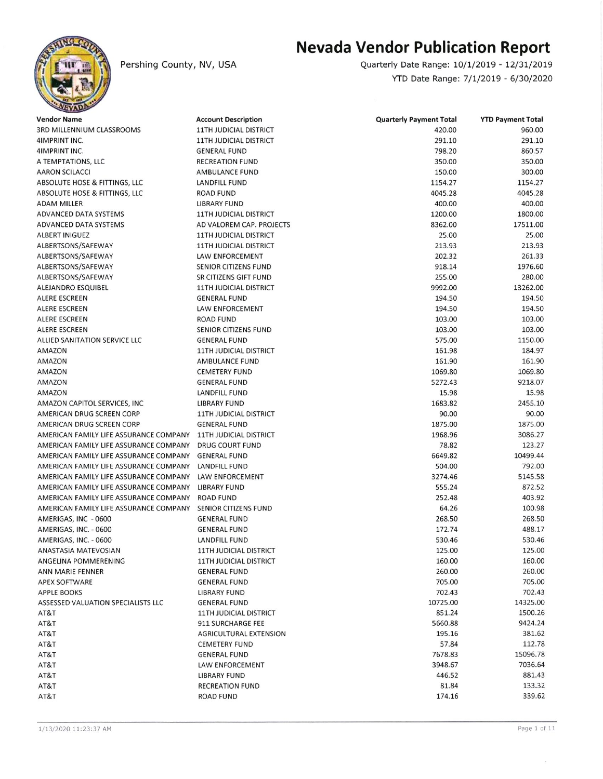

Pershing County, NV, USA

## Nevada Vendor Publication Report

Quarterly Date Range: 10/1/2019 - 12/31/2019 YTD Date Range: 7/1/2019 - 6/30/2020

| <b>Vendor Name</b>                     | <b>Account Description</b>    | <b>Quarterly Payment Total</b> | <b>YTD Payment Total</b> |
|----------------------------------------|-------------------------------|--------------------------------|--------------------------|
| 3RD MILLENNIUM CLASSROOMS              | <b>11TH JUDICIAL DISTRICT</b> | 420.00                         | 960.00                   |
| 4IMPRINT INC.                          | <b>11TH JUDICIAL DISTRICT</b> | 291.10                         | 291.10                   |
| 4IMPRINT INC.                          | <b>GENERAL FUND</b>           | 798.20                         | 860.57                   |
| A TEMPTATIONS, LLC                     | <b>RECREATION FUND</b>        | 350.00                         | 350.00                   |
| <b>AARON SCILACCI</b>                  | <b>AMBULANCE FUND</b>         | 150.00                         | 300.00                   |
| ABSOLUTE HOSE & FITTINGS, LLC          | LANDFILL FUND                 | 1154.27                        | 1154.27                  |
| ABSOLUTE HOSE & FITTINGS, LLC          | <b>ROAD FUND</b>              | 4045.28                        | 4045.28                  |
| <b>ADAM MILLER</b>                     | <b>LIBRARY FUND</b>           | 400.00                         | 400.00                   |
| ADVANCED DATA SYSTEMS                  | <b>11TH JUDICIAL DISTRICT</b> | 1200.00                        | 1800.00                  |
| <b>ADVANCED DATA SYSTEMS</b>           | AD VALOREM CAP. PROJECTS      | 8362.00                        | 17511.00                 |
| <b>ALBERT INIGUEZ</b>                  | <b>11TH JUDICIAL DISTRICT</b> | 25.00                          | 25.00                    |
| ALBERTSONS/SAFEWAY                     | <b>11TH JUDICIAL DISTRICT</b> | 213.93                         | 213.93                   |
| ALBERTSONS/SAFEWAY                     | LAW ENFORCEMENT               | 202.32                         | 261.33                   |
| ALBERTSONS/SAFEWAY                     | SENIOR CITIZENS FUND          | 918.14                         | 1976.60                  |
| ALBERTSONS/SAFEWAY                     | SR CITIZENS GIFT FUND         | 255.00                         | 280.00                   |
| ALEJANDRO ESQUIBEL                     | <b>11TH JUDICIAL DISTRICT</b> | 9992.00                        | 13262.00                 |
| ALERE ESCREEN                          | <b>GENERAL FUND</b>           | 194.50                         | 194.50                   |
| ALERE ESCREEN                          | LAW ENFORCEMENT               | 194.50                         | 194.50                   |
| ALERE ESCREEN                          | <b>ROAD FUND</b>              | 103.00                         | 103.00                   |
| ALERE ESCREEN                          | SENIOR CITIZENS FUND          | 103.00                         | 103.00                   |
| ALLIED SANITATION SERVICE LLC          | <b>GENERAL FUND</b>           | 575.00                         | 1150.00                  |
| AMAZON                                 | <b>11TH JUDICIAL DISTRICT</b> | 161.98                         | 184.97                   |
| AMAZON                                 | AMBULANCE FUND                | 161.90                         | 161.90                   |
| AMAZON                                 | <b>CEMETERY FUND</b>          | 1069.80                        | 1069.80                  |
| AMAZON                                 | <b>GENERAL FUND</b>           | 5272.43                        | 9218.07                  |
| AMAZON                                 | LANDFILL FUND                 | 15.98                          | 15.98                    |
| AMAZON CAPITOL SERVICES, INC           | <b>LIBRARY FUND</b>           | 1683.82                        | 2455.10                  |
| AMERICAN DRUG SCREEN CORP              | <b>11TH JUDICIAL DISTRICT</b> | 90.00                          | 90.00                    |
| AMERICAN DRUG SCREEN CORP              | <b>GENERAL FUND</b>           | 1875.00                        | 1875.00                  |
| AMERICAN FAMILY LIFE ASSURANCE COMPANY | <b>11TH JUDICIAL DISTRICT</b> | 1968.96                        | 3086.27                  |
| AMERICAN FAMILY LIFE ASSURANCE COMPANY | <b>DRUG COURT FUND</b>        | 78.82                          | 123.27                   |
| AMERICAN FAMILY LIFE ASSURANCE COMPANY | <b>GENERAL FUND</b>           | 6649.82                        | 10499.44                 |
| AMERICAN FAMILY LIFE ASSURANCE COMPANY | LANDFILL FUND                 | 504.00                         | 792.00                   |
| AMERICAN FAMILY LIFE ASSURANCE COMPANY | LAW ENFORCEMENT               | 3274.46                        | 5145.58                  |
| AMERICAN FAMILY LIFE ASSURANCE COMPANY | <b>LIBRARY FUND</b>           | 555.24                         | 872.52                   |
| AMERICAN FAMILY LIFE ASSURANCE COMPANY | <b>ROAD FUND</b>              | 252.48                         | 403.92                   |
| AMERICAN FAMILY LIFE ASSURANCE COMPANY | <b>SENIOR CITIZENS FUND</b>   | 64.26                          | 100.98                   |
|                                        | <b>GENERAL FUND</b>           | 268.50                         | 268.50                   |
| AMERIGAS, INC - 0600                   |                               | 172.74                         | 488.17                   |
| AMERIGAS, INC. - 0600                  | <b>GENERAL FUND</b>           |                                | 530.46                   |
| AMERIGAS, INC. - 0600                  | LANDFILL FUND                 | 530.46                         |                          |
| ANASTASIA MATEVOSIAN                   | <b>11TH JUDICIAL DISTRICT</b> | 125.00                         | 125.00                   |
| ANGELINA POMMERENING                   | <b>11TH JUDICIAL DISTRICT</b> | 160.00                         | 160.00                   |
| ANN MARIE FENNER                       | <b>GENERAL FUND</b>           | 260.00                         | 260.00                   |
| <b>APEX SOFTWARE</b>                   | <b>GENERAL FUND</b>           | 705.00                         | 705.00                   |
| <b>APPLE BOOKS</b>                     | <b>LIBRARY FUND</b>           | 702.43                         | 702.43                   |
| ASSESSED VALUATION SPECIALISTS LLC     | <b>GENERAL FUND</b>           | 10725.00                       | 14325.00                 |
| AT&T                                   | <b>11TH JUDICIAL DISTRICT</b> | 851.24                         | 1500.26                  |
| AT&T                                   | 911 SURCHARGE FEE             | 5660.88                        | 9424.24                  |
| AT&T                                   | AGRICULTURAL EXTENSION        | 195.16                         | 381.62                   |
| AT&T                                   | <b>CEMETERY FUND</b>          | 57.84                          | 112.78                   |
| AT&T                                   | <b>GENERAL FUND</b>           | 7678.83                        | 15096.78                 |
| AT&T                                   | LAW ENFORCEMENT               | 3948.67                        | 7036.64                  |
| AT&T                                   | <b>LIBRARY FUND</b>           | 446.52                         | 881.43                   |
| AT&T                                   | <b>RECREATION FUND</b>        | 81.84                          | 133.32                   |
| AT&T                                   | <b>ROAD FUND</b>              | 174.16                         | 339.62                   |